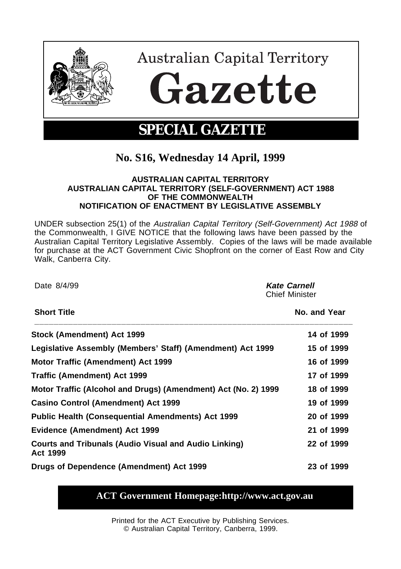

## **No. S16, Wednesday 14 April, 1999**

## **AUSTRALIAN CAPITAL TERRITORY AUSTRALIAN CAPITAL TERRITORY (SELF-GOVERNMENT) ACT 1988 OF THE COMMONWEALTH NOTIFICATION OF ENACTMENT BY LEGISLATIVE ASSEMBLY**

UNDER subsection 25(1) of the Australian Capital Territory (Self-Government) Act 1988 of the Commonwealth, I GIVE NOTICE that the following laws have been passed by the Australian Capital Territory Legislative Assembly. Copies of the laws will be made available for purchase at the ACT Government Civic Shopfront on the corner of East Row and City Walk, Canberra City.

Date 8/4/99 **Kate Carnell** Chief Minister **Short Title No. and Year \_\_\_\_\_\_\_\_\_\_\_\_\_\_\_\_\_\_\_\_\_\_\_\_\_\_\_\_\_\_\_\_\_\_\_\_\_\_\_\_\_\_\_\_\_\_\_\_\_\_\_\_\_\_\_\_\_\_\_\_\_\_\_\_\_\_ Stock (Amendment) Act 1999 14 of 1999** 14 of 1999 **Legislative Assembly (Members' Staff) (Amendment) Act 1999 15 of 1999 Motor Traffic (Amendment) Act 1999 16 of 1899 16 of 1999 Traffic (Amendment) Act 1999** 17 of 1999 **Motor Traffic (Alcohol and Drugs) (Amendment) Act (No. 2) 1999 18 of 1999 Casino Control (Amendment) Act 1999 19 of 1999 Public Health (Consequential Amendments) Act 1999 20 of 1999 Evidence (Amendment) Act 1999 21 of 1999 Courts and Tribunals (Audio Visual and Audio Linking) Act 1999 22 of 1999 Drugs of Dependence (Amendment) Act 1999 23 of 1999**

## **ACT Government Homepage:http://www.act.gov.au**

Printed for the ACT Executive by Publishing Services. © Australian Capital Territory, Canberra, 1999.